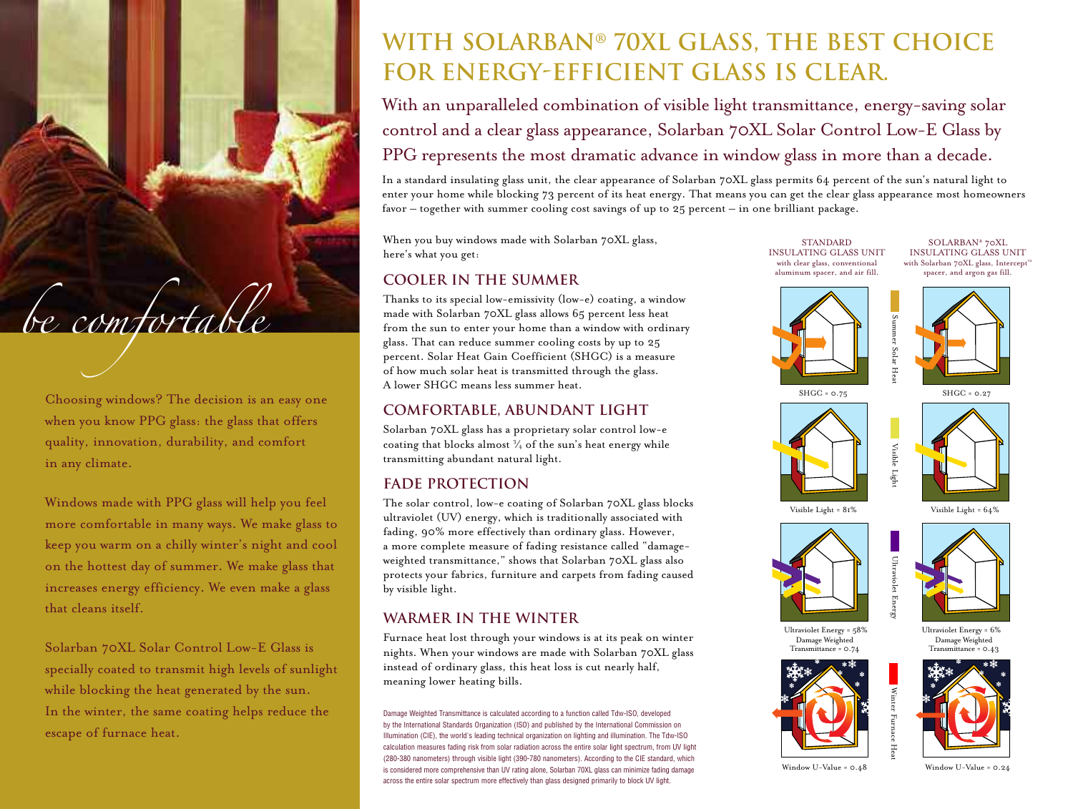Choosing windows? The decision is an easy one when you know PPG glass: the glass that offers quality, innovation, durability, and comfort in any climate.

*be comfortable*

Windows made with PPG glass will help you feel more comfortable in many ways. We make glass to keep you warm on a chilly winter's night and cool on the hottest day of summer. We make glass that increases energy efficiency. We even make a glass that cleans itself.

Solarban 70XL Solar Control Low-E Glass is specially coated to transmit high levels of sunlight while blocking the heat generated by the sun. In the winter, the same coating helps reduce the escape of furnace heat.

# **With Solarban® 70XL Glass, the Best Choice for Energy-Efficient Glass is Clear.**

With an unparalleled combination of visible light transmittance, energy-saving solar control and a clear glass appearance, Solarban 70XL Solar Control Low-E Glass by PPG represents the most dramatic advance in window glass in more than a decade.

In a standard insulating glass unit, the clear appearance of Solarban 70XL glass permits 64 percent of the sun's natural light to enter your home while blocking 73 percent of its heat energy. That means you can get the clear glass appearance most homeowners favor – together with summer cooling cost savings of up to 25 percent – in one brilliant package.

When you buy windows made with Solarban 70XL glass, here's what you get:

## **Cooler in the Summer**

Thanks to its special low-emissivity (low-e) coating, a window made with Solarban 70XL glass allows 65 percent less heat from the sun to enter your home than a window with ordinary glass. That can reduce summer cooling costs by up to 25 percent. Solar Heat Gain Coefficient (SHGC) is a measure of how much solar heat is transmitted through the glass. A lower SHGC means less summer heat.

### **Comfortable, Abundant Light**

Solarban 70XL glass has a proprietary solar control low-e coating that blocks almost  $\frac{3}{4}$  of the sun's heat energy while transmitting abundant natural light.

### **Fade Protection**

The solar control, low-e coating of Solarban 70XL glass blocks ultraviolet (UV) energy, which is traditionally associated with fading, 90% more effectively than ordinary glass. However, a more complete measure of fading resistance called "damageweighted transmittance," shows that Solarban 70XL glass also protects your fabrics, furniture and carpets from fading caused by visible light.

# **Warmer in the Winter**

Furnace heat lost through your windows is at its peak on winter nights. When your windows are made with Solarban 70XL glass instead of ordinary glass, this heat loss is cut nearly half, meaning lower heating bills.

Damage Weighted Transmittance is calculated according to a function called Tdw-ISO, developed by the International Standards Organization (ISO) and published by the International Commission on Illumination (CIE), the world's leading technical organization on lighting and illumination. The Tdw-ISO calculation measures fading risk from solar radiation across the entire solar light spectrum, from UV light (280-380 nanometers) through visible light (390-780 nanometers). According to the CIE standard, which is considered more comprehensive than UV rating alone, Solarban 70XL glass can minimize fading damage across the entire solar spectrum more effectively than glass designed primarily to block UV light.

STANDARD INSULATING GLASS UNIT with clear glass, conventional aluminum spacer, and air fill.

SOLARBAN® 70XL INSULATING GLASS UNIT with Solarban 70XL glass, Intercept<sup>™</sup> spacer, and argon gas fill.





mer Solar Heat

Visible Light





Visible Light =  $81\%$  Visible Light =  $64\%$ 





Ultraviolet Energy = 58% Ultraviolet Energy = 6% Damage Weighted Transmittance = 0.74





Damage Weighted Transmittance = 0.43

Window U-Value = 0.48 Window U-Value = 0.24

Winter

Furnace